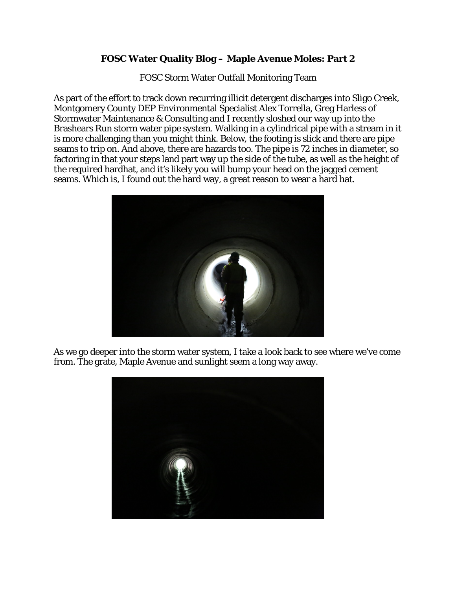## **FOSC Water Quality Blog – Maple Avenue Moles: Part 2**

FOSC Storm Water Outfall Monitoring Team

As part of the effort to track down recurring illicit detergent discharges into Sligo Creek, Montgomery County DEP Environmental Specialist Alex Torrella, Greg Harless of Stormwater Maintenance & Consulting and I recently sloshed our way up into the Brashears Run storm water pipe system. Walking in a cylindrical pipe with a stream in it is more challenging than you might think. Below, the footing is slick and there are pipe seams to trip on. And above, there are hazards too. The pipe is 72 inches in diameter, so factoring in that your steps land part way up the side of the tube, as well as the height of the required hardhat, and it's likely you will bump your head on the jagged cement seams. Which is, I found out the hard way, a great reason to wear a hard hat.



As we go deeper into the storm water system, I take a look back to see where we've come from. The grate, Maple Avenue and sunlight seem a long way away.

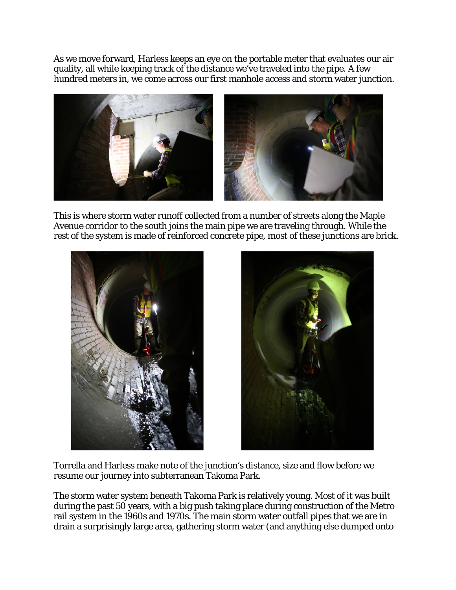As we move forward, Harless keeps an eye on the portable meter that evaluates our air quality, all while keeping track of the distance we've traveled into the pipe. A few hundred meters in, we come across our first manhole access and storm water junction.



This is where storm water runoff collected from a number of streets along the Maple Avenue corridor to the south joins the main pipe we are traveling through. While the rest of the system is made of reinforced concrete pipe, most of these junctions are brick.





Torrella and Harless make note of the junction's distance, size and flow before we resume our journey into subterranean Takoma Park.

The storm water system beneath Takoma Park is relatively young. Most of it was built during the past  $50$  years, with a big push taking place during construction of the Metro rail system in the 1960s and 1970s. The main storm water outfall pipes that we are in drain a surprisingly large area, gathering storm water (and anything else dumped onto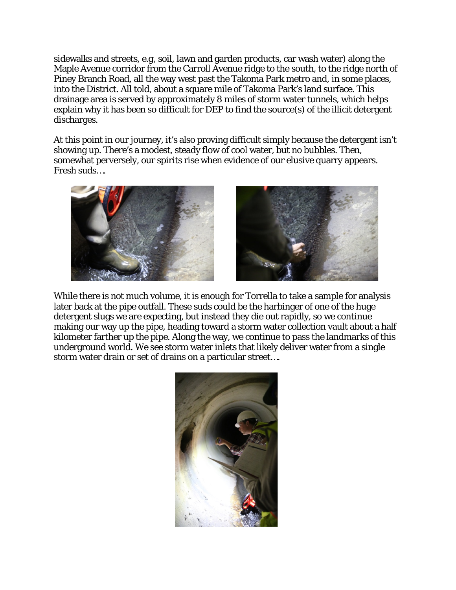sidewalks and streets, *e.g,* soil, lawn and garden products, car wash water) along the Maple Avenue corridor from the Carroll Avenue ridge to the south, to the ridge north of Piney Branch Road, all the way west past the Takoma Park metro and, in some places, into the District. All told, about a square mile of Takoma Park's land surface. This drainage area is served by approximately 8 miles of storm water tunnels, which helps explain why it has been so difficult for DEP to find the source(s) of the illicit detergent discharges.

At this point in our journey, it's also proving difficult simply because the detergent isn't showing up. There's a modest, steady flow of cool water, but no bubbles. Then, somewhat perversely, our spirits rise when evidence of our elusive quarry appears. Fresh suds….



While there is not much volume, it is enough for Torrella to take a sample for analysis later back at the pipe outfall. These suds could be the harbinger of one of the huge detergent slugs we are expecting, but instead they die out rapidly, so we continue making our way up the pipe, heading toward a storm water collection vault about a half kilometer farther up the pipe. Along the way, we continue to pass the landmarks of this underground world. We see storm water inlets that likely deliver water from a single storm water drain or set of drains on a particular street….

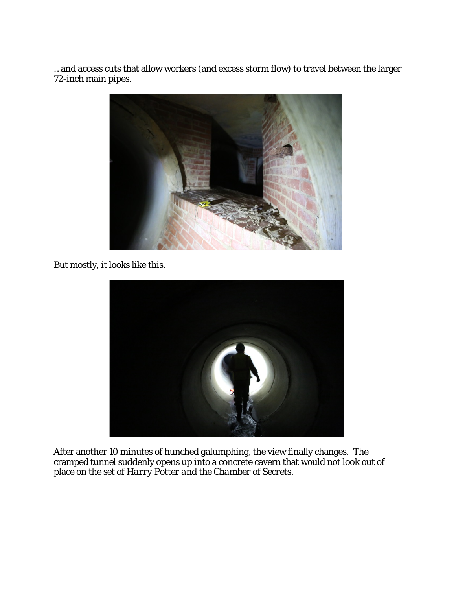…and access cuts that allow workers (and excess storm flow) to travel between the larger 72-inch main pipes.



But mostly, it looks like this.



After another 10 minutes of hunched galumphing, the view finally changes. The cramped tunnel suddenly opens up into a concrete cavern that would not look out of place on the set of *Harry Potter and the Chamber of Secrets.*